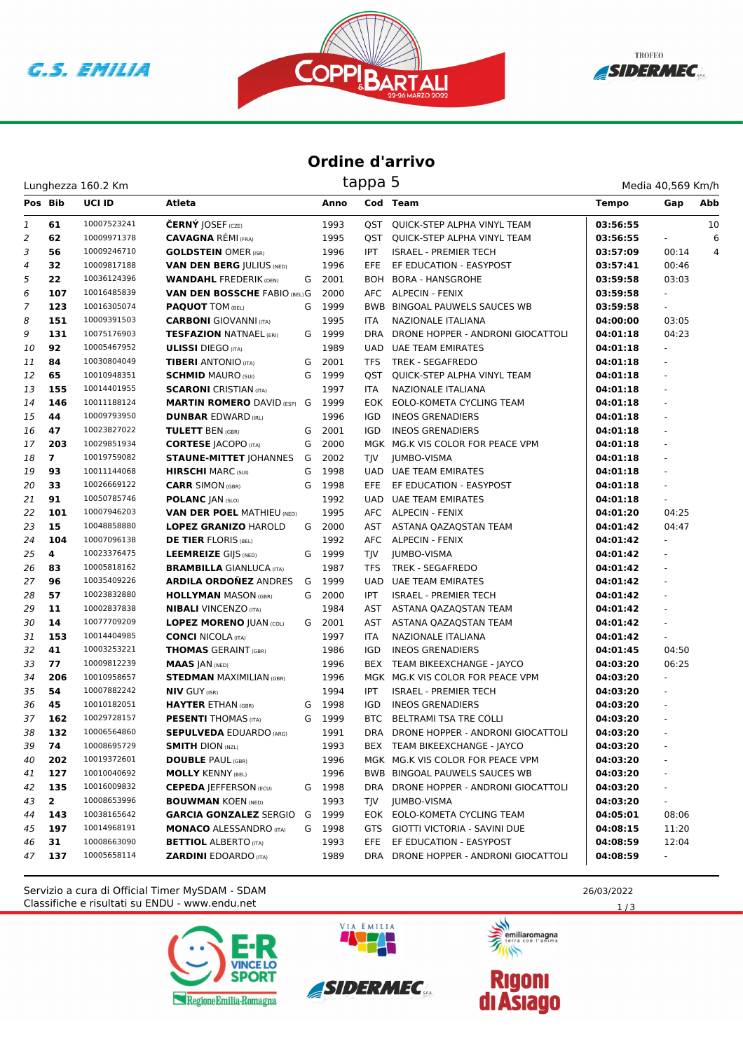





## **Ordine d'arrivo**

|                |                | Lunghezza 160.2 Km |                                      | tappa 5 |        |            |                                        |              |                          | Media 40,569 Km/h |  |  |  |
|----------------|----------------|--------------------|--------------------------------------|---------|--------|------------|----------------------------------------|--------------|--------------------------|-------------------|--|--|--|
| Pos Bib        |                | <b>UCI ID</b>      | Atleta                               |         | Anno   |            | <b>Cod Team</b>                        | <b>Tempo</b> | Gap                      | Abb               |  |  |  |
| 1              | 61             | 10007523241        | <b>ČERNÝ JOSEF</b> (CZE)             |         | 1993   |            | <b>QST QUICK-STEP ALPHA VINYL TEAM</b> | 03:56:55     |                          | 10                |  |  |  |
| $\overline{2}$ | 62             | 10009971378        | <b>CAVAGNA RÉMI (FRA)</b>            |         | 1995   | QST        | QUICK-STEP ALPHA VINYL TEAM            | 03:56:55     | ÷.                       | 6                 |  |  |  |
| 3              | 56             | 10009246710        | <b>GOLDSTEIN OMER (ISR)</b>          |         | 1996   | <b>IPT</b> | <b>ISRAEL - PREMIER TECH</b>           | 03:57:09     | 00:14                    | 4                 |  |  |  |
| 4              | 32             | 10009817188        | <b>VAN DEN BERG JULIUS (NED)</b>     |         | 1996   | EFE        | EF EDUCATION - EASYPOST                | 03:57:41     | 00:46                    |                   |  |  |  |
| 5              | 22             | 10036124396        | <b>WANDAHL FREDERIK (DEN)</b>        | G       | 2001   |            | BOH BORA - HANSGROHE                   | 03:59:58     | 03:03                    |                   |  |  |  |
| 6              | 107            | 10016485839        | <b>VAN DEN BOSSCHE FABIO (BEL) G</b> |         | 2000   |            | AFC ALPECIN - FENIX                    | 03:59:58     |                          |                   |  |  |  |
| 7              | 123            | 10016305074        | <b>PAQUOT TOM (BEL)</b>              | G       | 1999   |            | BWB BINGOAL PAUWELS SAUCES WB          | 03:59:58     | $\overline{\phantom{0}}$ |                   |  |  |  |
| 8              | 151            | 10009391503        | <b>CARBONI</b> GIOVANNI (ITA)        |         | 1995   | <b>ITA</b> | NAZIONALE ITALIANA                     | 04:00:00     | 03:05                    |                   |  |  |  |
| 9              | 131            | 10075176903        | <b>TESFAZION NATNAEL (ERI)</b>       |         | G 1999 | DRA        | DRONE HOPPER - ANDRONI GIOCATTOLI      | 04:01:18     | 04:23                    |                   |  |  |  |
| 10             | 92             | 10005467952        | <b>ULISSI</b> DIEGO (ITA)            |         | 1989   |            | UAD UAE TEAM EMIRATES                  | 04:01:18     | Ξ.                       |                   |  |  |  |
| 11             | 84             | 10030804049        | <b>TIBERI</b> ANTONIO (ITA)          | G       | 2001   | <b>TFS</b> | <b>TREK - SEGAFREDO</b>                | 04:01:18     |                          |                   |  |  |  |
| 12             | 65             | 10010948351        | <b>SCHMID MAURO (SUI)</b>            | G       | 1999   | OST        | QUICK-STEP ALPHA VINYL TEAM            | 04:01:18     |                          |                   |  |  |  |
| 13             | 155            | 10014401955        | <b>SCARONI</b> CRISTIAN (ITA)        |         | 1997   | ITA        | NAZIONALE ITALIANA                     | 04:01:18     | $\omega$                 |                   |  |  |  |
| 14             | 146            | 10011188124        | <b>MARTIN ROMERO DAVID (ESP)</b>     | G       | 1999   | EOK        | EOLO-KOMETA CYCLING TEAM               | 04:01:18     | $\overline{\phantom{0}}$ |                   |  |  |  |
| 15             | 44             | 10009793950        | <b>DUNBAR EDWARD (IRL)</b>           |         | 1996   | <b>IGD</b> | <b>INEOS GRENADIERS</b>                | 04:01:18     | ä,                       |                   |  |  |  |
| 16             | 47             | 10023827022        | <b>TULETT BEN (GBR)</b>              | G       | 2001   | IGD        | <b>INEOS GRENADIERS</b>                | 04:01:18     | ÷,                       |                   |  |  |  |
| 17             | 203            | 10029851934        | <b>CORTESE   ACOPO (ITA)</b>         | G       | 2000   |            | MGK MG.K VIS COLOR FOR PEACE VPM       | 04:01:18     | ä,                       |                   |  |  |  |
| 18             | $\overline{7}$ | 10019759082        | <b>STAUNE-MITTET JOHANNES</b>        | G       | 2002   | TJV        | JUMBO-VISMA                            | 04:01:18     |                          |                   |  |  |  |
| 19             | 93             | 10011144068        | <b>HIRSCHI</b> MARC (SUI)            | G       | 1998   | <b>UAD</b> | <b>UAE TEAM EMIRATES</b>               | 04:01:18     | $\omega$                 |                   |  |  |  |
| 20             | 33             | 10026669122        | <b>CARR SIMON (GBR)</b>              | G       | 1998   | EFE.       | EF EDUCATION - EASYPOST                | 04:01:18     | $\overline{\phantom{a}}$ |                   |  |  |  |
| 21             | 91             | 10050785746        | <b>POLANC JAN (SLO)</b>              |         | 1992   |            | UAD UAE TEAM EMIRATES                  | 04:01:18     | ÷.                       |                   |  |  |  |
| 22             | 101            | 10007946203        | <b>VAN DER POEL MATHIEU (NED)</b>    |         | 1995   |            | AFC ALPECIN - FENIX                    | 04:01:20     | 04:25                    |                   |  |  |  |
| 23             | 15             | 10048858880        | <b>LOPEZ GRANIZO HAROLD</b>          |         | G 2000 | AST        | ASTANA QAZAQSTAN TEAM                  | 04:01:42     | 04:47                    |                   |  |  |  |
| 24             | 104            | 10007096138        | <b>DE TIER FLORIS (BEL)</b>          |         | 1992   |            | AFC ALPECIN - FENIX                    | 04:01:42     |                          |                   |  |  |  |
| 25             | 4              | 10023376475        | <b>LEEMREIZE GIJS (NED)</b>          |         | G 1999 | <b>TIV</b> | JUMBO-VISMA                            | 04:01:42     | ÷.                       |                   |  |  |  |
| 26             | 83             | 10005818162        | <b>BRAMBILLA GIANLUCA (ITA)</b>      |         | 1987   | <b>TFS</b> | TREK - SEGAFREDO                       | 04:01:42     | $\blacksquare$           |                   |  |  |  |
| 27             | 96             | 10035409226        | <b>ARDILA ORDOÑEZ ANDRES</b>         | G       | 1999   |            | UAD UAE TEAM EMIRATES                  | 04:01:42     | $\overline{\phantom{a}}$ |                   |  |  |  |
| 28             | 57             | 10023832880        | <b>HOLLYMAN MASON (GBR)</b>          | G       | 2000   | IPT        | <b>ISRAEL - PREMIER TECH</b>           | 04:01:42     | ÷.                       |                   |  |  |  |
| 29             | 11             | 10002837838        | <b>NIBALI</b> VINCENZO (ITA)         |         | 1984   | AST        | ASTANA QAZAQSTAN TEAM                  | 04:01:42     | ä,                       |                   |  |  |  |
| 30             | 14             | 10077709209        | <b>LOPEZ MORENO JUAN (COL)</b>       |         | G 2001 | AST        | ASTANA QAZAQSTAN TEAM                  | 04:01:42     | ä,                       |                   |  |  |  |
| 31             | 153            | 10014404985        | <b>CONCI NICOLA (ITA)</b>            |         | 1997   | ITA        | NAZIONALE ITALIANA                     | 04:01:42     | ÷.                       |                   |  |  |  |
| 32             | 41             | 10003253221        | <b>THOMAS GERAINT (GBR)</b>          |         | 1986   | <b>IGD</b> | <b>INEOS GRENADIERS</b>                | 04:01:45     | 04:50                    |                   |  |  |  |
| 33             | 77             | 10009812239        | <b>MAAS JAN (NED)</b>                |         | 1996   | BEX        | TEAM BIKEEXCHANGE - JAYCO              | 04:03:20     | 06:25                    |                   |  |  |  |
| 34             | 206            | 10010958657        | <b>STEDMAN MAXIMILIAN (GBR)</b>      |         | 1996   |            | MGK MG.K VIS COLOR FOR PEACE VPM       | 04:03:20     | Ξ.                       |                   |  |  |  |
| 35             | 54             | 10007882242        | <b>NIV GUY (ISR)</b>                 |         | 1994   | <b>IPT</b> | <b>ISRAEL - PREMIER TECH</b>           | 04:03:20     | ä,                       |                   |  |  |  |
| 36             | 45             | 10010182051        | <b>HAYTER ETHAN (GBR)</b>            | G       | 1998   | <b>IGD</b> | <b>INEOS GRENADIERS</b>                | 04:03:20     |                          |                   |  |  |  |
| 37             | 162            | 10029728157        | <b>PESENTI</b> THOMAS (ITA)          | G       | 1999   | BTC        | BELTRAMI TSA TRE COLLI                 | 04:03:20     | $\overline{\phantom{a}}$ |                   |  |  |  |
| 38             | 132            | 10006564860        | <b>SEPULVEDA</b> EDUARDO (ARG)       |         | 1991   |            | DRA DRONE HOPPER - ANDRONI GIOCATTOLI  | 04:03:20     |                          |                   |  |  |  |
| 39             | 74             | 10008695729        | <b>SMITH DION (NZL)</b>              |         | 1993   |            | BEX TEAM BIKEEXCHANGE - JAYCO          | 04:03:20     |                          |                   |  |  |  |
| 40             | 202            | 10019372601        | <b>DOUBLE PAUL (GBR)</b>             |         | 1996   |            | MGK MG.K VIS COLOR FOR PEACE VPM       | 04:03:20     |                          |                   |  |  |  |
| 41             | 127            | 10010040692        | <b>MOLLY KENNY (BEL)</b>             |         | 1996   |            | BWB BINGOAL PAUWELS SAUCES WB          | 04:03:20     |                          |                   |  |  |  |
| 42             | 135            | 10016009832        | <b>CEPEDA JEFFERSON (ECU)</b>        | G       | 1998   |            | DRA DRONE HOPPER - ANDRONI GIOCATTOLI  | 04:03:20     |                          |                   |  |  |  |
| 43             | $\mathbf{2}$   | 10008653996        | <b>BOUWMAN KOEN (NED)</b>            |         | 1993   | <b>TJV</b> | JUMBO-VISMA                            | 04:03:20     | Ξ.                       |                   |  |  |  |
| 44             | 143            | 10038165642        | <b>GARCIA GONZALEZ SERGIO</b>        | G       | 1999   |            | EOK EOLO-KOMETA CYCLING TEAM           | 04:05:01     | 08:06                    |                   |  |  |  |
| 45             | 197            | 10014968191        | <b>MONACO ALESSANDRO (ITA)</b>       |         | G 1998 |            | GTS GIOTTI VICTORIA - SAVINI DUE       | 04:08:15     | 11:20                    |                   |  |  |  |
| 46             | 31             | 10008663090        | <b>BETTIOL ALBERTO (ITA)</b>         |         | 1993   | EFE.       | EF EDUCATION - EASYPOST                | 04:08:59     | 12:04                    |                   |  |  |  |
| 47             | 137            | 10005658114        | <b>ZARDINI EDOARDO (ITA)</b>         |         | 1989   |            | DRA DRONE HOPPER - ANDRONI GIOCATTOLI  | 04:08:59     | $\sim$                   |                   |  |  |  |

Classifiche e risultati su ENDU - www.endu.net Servizio a cura di Official Timer MySDAM - SDAM 26/03/2022







**Rigoni<br>di Asiago** 



 $1/3$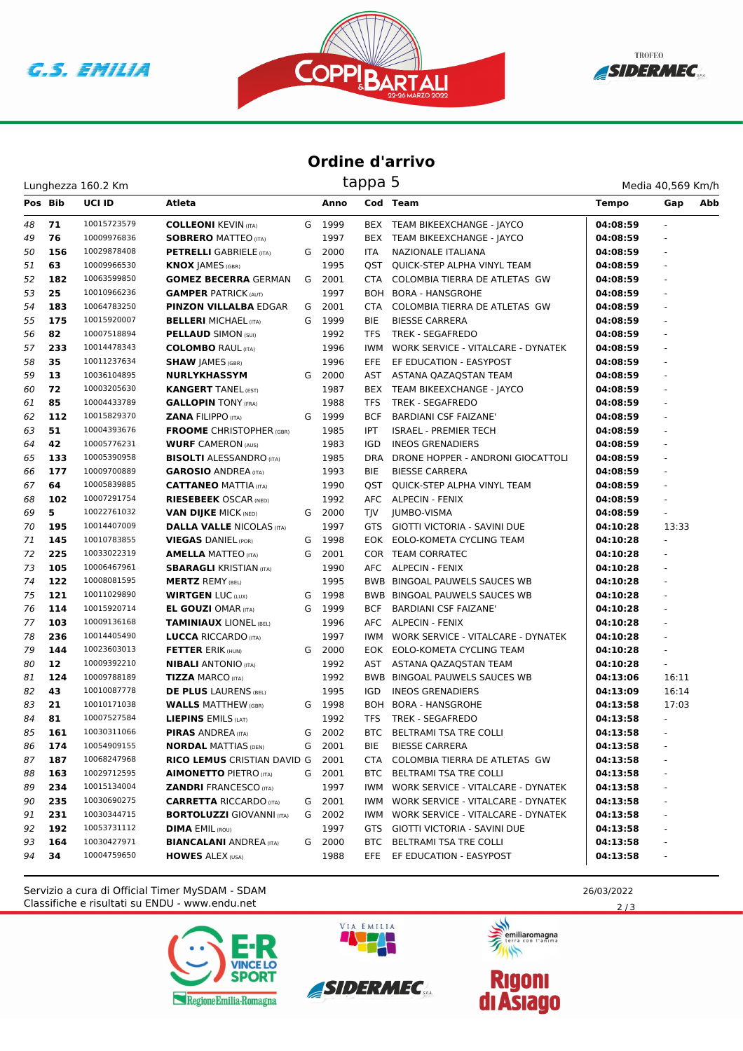





## **Ordine d'arrivo**

Lunghezza 160.2 Km

| Pos Bib |     | <b>UCI ID</b> | Atleta                           |   | Anno   |            | Cod Team                               | <b>Tempo</b> | Abb<br>Gap               |
|---------|-----|---------------|----------------------------------|---|--------|------------|----------------------------------------|--------------|--------------------------|
| 48      | 71  | 10015723579   | <b>COLLEONI KEVIN (ITA)</b>      | G | 1999   |            | BEX TEAM BIKEEXCHANGE - JAYCO          | 04:08:59     |                          |
| 49      | 76  | 10009976836   | <b>SOBRERO MATTEO (ITA)</b>      |   | 1997   | BEX        | TEAM BIKEEXCHANGE - JAYCO              | 04:08:59     | $\frac{1}{2}$            |
| 50      | 156 | 10029878408   | <b>PETRELLI</b> GABRIELE (ITA)   |   | G 2000 | <b>ITA</b> | NAZIONALE ITALIANA                     | 04:08:59     | ä,                       |
| 51      | 63  | 10009966530   | <b>KNOX JAMES (GBR)</b>          |   | 1995   |            | QST QUICK-STEP ALPHA VINYL TEAM        | 04:08:59     |                          |
| 52      | 182 | 10063599850   | <b>GOMEZ BECERRA GERMAN</b>      |   | G 2001 | CTA        | COLOMBIA TIERRA DE ATLETAS GW          | 04:08:59     |                          |
| 53      | 25  | 10010966236   | <b>GAMPER PATRICK (AUT)</b>      |   | 1997   | BOH        | <b>BORA - HANSGROHE</b>                | 04:08:59     |                          |
| 54      | 183 | 10064783250   | <b>PINZON VILLALBA EDGAR</b>     | G | 2001   | CTA        | COLOMBIA TIERRA DE ATLETAS GW          | 04:08:59     | ÷.                       |
| 55      | 175 | 10015920007   | <b>BELLERI MICHAEL (ITA)</b>     | G | 1999   | <b>BIE</b> | <b>BIESSE CARRERA</b>                  | 04:08:59     | $\frac{1}{2}$            |
| 56      | 82  | 10007518894   | <b>PELLAUD SIMON (SUI)</b>       |   | 1992   | TFS        | <b>TREK - SEGAFREDO</b>                | 04:08:59     |                          |
| 57      | 233 | 10014478343   | <b>COLOMBO RAUL (ITA)</b>        |   | 1996   | IWM        | WORK SERVICE - VITALCARE - DYNATEK     | 04:08:59     |                          |
| 58      | 35  | 10011237634   | <b>SHAW JAMES (GBR)</b>          |   | 1996   | <b>EFE</b> | EF EDUCATION - EASYPOST                | 04:08:59     | ÷                        |
| 59      | 13  | 10036104895   | <b>NURLYKHASSYM</b>              | G | 2000   | AST        | ASTANA QAZAQSTAN TEAM                  | 04:08:59     | ÷.                       |
| 60      | 72  | 10003205630   | <b>KANGERT TANEL (EST)</b>       |   | 1987   | BEX        | TEAM BIKEEXCHANGE - JAYCO              | 04:08:59     | ÷.                       |
| 61      | 85  | 10004433789   | <b>GALLOPIN TONY (FRA)</b>       |   | 1988   | <b>TFS</b> | <b>TREK - SEGAFREDO</b>                | 04:08:59     | $\frac{1}{2}$            |
| 62      | 112 | 10015829370   | <b>ZANA FILIPPO (ITA)</b>        | G | 1999   | <b>BCF</b> | <b>BARDIANI CSF FAIZANE'</b>           | 04:08:59     | ÷.                       |
| 63      | 51  | 10004393676   | <b>FROOME</b> CHRISTOPHER (GBR)  |   | 1985   | IPT        | <b>ISRAEL - PREMIER TECH</b>           | 04:08:59     |                          |
| 64      | 42  | 10005776231   | <b>WURF CAMERON (AUS)</b>        |   | 1983   | IGD        | <b>INEOS GRENADIERS</b>                | 04:08:59     |                          |
| 65      | 133 | 10005390958   | <b>BISOLTI ALESSANDRO</b> (ITA)  |   | 1985   | DRA        | DRONE HOPPER - ANDRONI GIOCATTOLI      | 04:08:59     |                          |
| 66      | 177 | 10009700889   | <b>GAROSIO ANDREA (ITA)</b>      |   | 1993   | <b>BIE</b> | <b>BIESSE CARRERA</b>                  | 04:08:59     | ÷.                       |
| 67      | 64  | 10005839885   | <b>CATTANEO MATTIA (ITA)</b>     |   | 1990   | QST        | QUICK-STEP ALPHA VINYL TEAM            | 04:08:59     | $\frac{1}{2}$            |
| 68      | 102 | 10007291754   | <b>RIESEBEEK OSCAR (NED)</b>     |   | 1992   |            | AFC ALPECIN - FENIX                    | 04:08:59     | $\frac{1}{2}$            |
| 69      | 5   | 10022761032   | <b>VAN DIJKE MICK (NED)</b>      | G | 2000   | TJV        | JUMBO-VISMA                            | 04:08:59     |                          |
| 70      | 195 | 10014407009   | <b>DALLA VALLE NICOLAS (ITA)</b> |   | 1997   |            | GTS GIOTTI VICTORIA - SAVINI DUE       | 04:10:28     | 13:33                    |
| 71      | 145 | 10010783855   | <b>VIEGAS DANIEL (POR)</b>       | G | 1998   |            | EOK EOLO-KOMETA CYCLING TEAM           | 04:10:28     | ÷.                       |
| 72      | 225 | 10033022319   | <b>AMELLA MATTEO</b> (ITA)       | G | 2001   |            | COR TEAM CORRATEC                      | 04:10:28     | ÷.                       |
| 73      | 105 | 10006467961   | <b>SBARAGLI KRISTIAN (ITA)</b>   |   | 1990   |            | AFC ALPECIN - FENIX                    | 04:10:28     | $\frac{1}{2}$            |
| 74      | 122 | 10008081595   | <b>MERTZ REMY (BEL)</b>          |   | 1995   |            | <b>BWB BINGOAL PAUWELS SAUCES WB</b>   | 04:10:28     | ÷.                       |
| 75      | 121 | 10011029890   | <b>WIRTGEN LUC (LUX)</b>         | G | 1998   |            | BWB BINGOAL PAUWELS SAUCES WB          | 04:10:28     |                          |
| 76      | 114 | 10015920714   | <b>EL GOUZI OMAR (ITA)</b>       | G | 1999   | <b>BCF</b> | <b>BARDIANI CSF FAIZANE'</b>           | 04:10:28     |                          |
| 77      | 103 | 10009136168   | <b>TAMINIAUX LIONEL (BEL)</b>    |   | 1996   |            | AFC ALPECIN - FENIX                    | 04:10:28     |                          |
| 78      | 236 | 10014405490   | <b>LUCCA RICCARDO</b> (ITA)      |   | 1997   | IWM        | WORK SERVICE - VITALCARE - DYNATEK     | 04:10:28     | ÷.                       |
| 79      | 144 | 10023603013   | <b>FETTER ERIK (HUN)</b>         | G | 2000   |            | EOK EOLO-KOMETA CYCLING TEAM           | 04:10:28     | $\overline{\phantom{a}}$ |
| 80      | 12  | 10009392210   | <b>NIBALI</b> ANTONIO (ITA)      |   | 1992   | AST        | ASTANA QAZAQSTAN TEAM                  | 04:10:28     | $\overline{\phantom{a}}$ |
| 81      | 124 | 10009788189   | <b>TIZZA MARCO (ITA)</b>         |   | 1992   |            | BWB BINGOAL PAUWELS SAUCES WB          | 04:13:06     | 16:11                    |
| 82      | 43  | 10010087778   | <b>DE PLUS LAURENS (BEL)</b>     |   | 1995   | IGD        | <b>INEOS GRENADIERS</b>                | 04:13:09     | 16:14                    |
| 83      | 21  | 10010171038   | <b>WALLS MATTHEW (GBR)</b>       | G | 1998   | BOH        | <b>BORA - HANSGROHE</b>                | 04:13:58     | 17:03                    |
| 84      | 81  | 10007527584   | LIEPINS EMILS (LAT)              |   | 1992   | TFS        | TREK - SEGAFREDO                       | 04:13:58     | $\blacksquare$           |
| 85      | 161 | 10030311066   | <b>PIRAS ANDREA</b> (ITA)        | G | 2002   | BTC        | BELTRAMI TSA TRE COLLI                 | 04:13:58     | $\overline{\phantom{a}}$ |
| 86      | 174 | 10054909155   | <b>NORDAL MATTIAS (DEN)</b>      | G | 2001   | <b>BIE</b> | <b>BIESSE CARRERA</b>                  | 04:13:58     | $\overline{\phantom{a}}$ |
| 87      | 187 | 10068247968   | RICO LEMUS CRISTIAN DAVID G      |   | 2001   |            | CTA COLOMBIA TIERRA DE ATLETAS GW      | 04:13:58     |                          |
| 88      | 163 | 10029712595   | <b>AIMONETTO PIETRO (ITA)</b>    |   | G 2001 |            | BTC BELTRAMI TSA TRE COLLI             | 04:13:58     |                          |
| 89      | 234 | 10015134004   | <b>ZANDRI FRANCESCO (ITA)</b>    |   | 1997   |            | IWM WORK SERVICE - VITALCARE - DYNATEK | 04:13:58     |                          |
| 90      | 235 | 10030690275   | <b>CARRETTA RICCARDO (ITA)</b>   | G | 2001   | IWM        | WORK SERVICE - VITALCARE - DYNATEK     | 04:13:58     |                          |
| 91      | 231 | 10030344715   | <b>BORTOLUZZI</b> GIOVANNI (ITA) | G | 2002   | IWM        | WORK SERVICE - VITALCARE - DYNATEK     | 04:13:58     |                          |
| 92      | 192 | 10053731112   | <b>DIMA EMIL (ROU)</b>           |   | 1997   |            | GTS GIOTTI VICTORIA - SAVINI DUE       | 04:13:58     |                          |
| 93      | 164 | 10030427971   | <b>BIANCALANI ANDREA (ITA)</b>   |   | G 2000 | BTC        | BELTRAMI TSA TRE COLLI                 | 04:13:58     |                          |
| 94      | 34  | 10004759650   | <b>HOWES ALEX (USA)</b>          |   | 1988   | EFE        | EF EDUCATION - EASYPOST                | 04:13:58     |                          |
|         |     |               |                                  |   |        |            |                                        |              |                          |

Classifiche e risultati su ENDU - www.endu.net Servizio a cura di Official Timer MySDAM - SDAM 26/03/2022







**Rigoni<br>di Asiago** 

 $2/3$